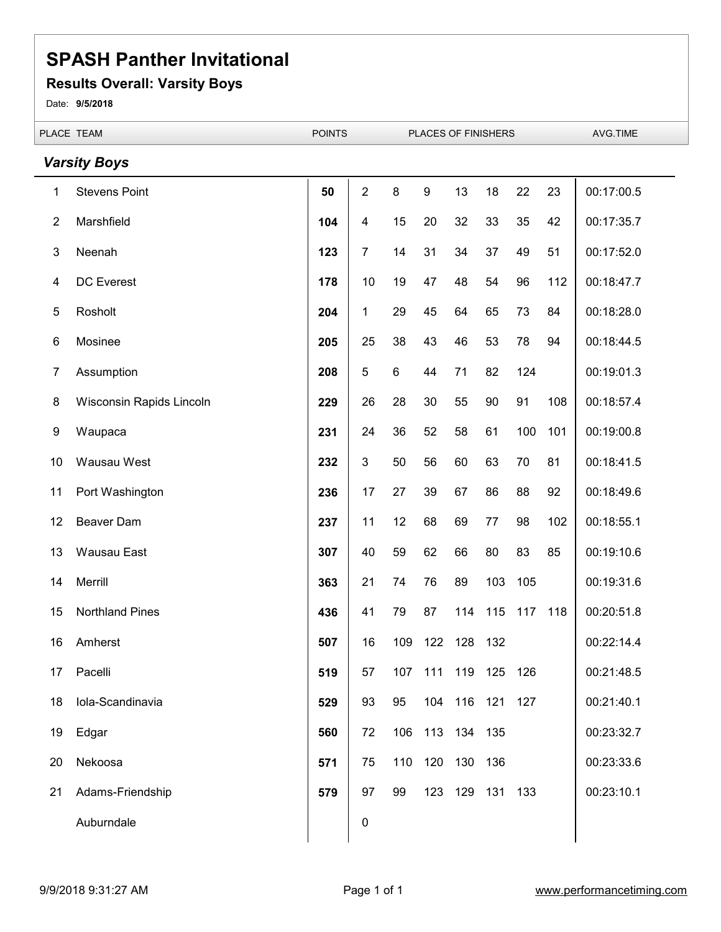#### **Results Overall: Varsity Boys**

Date: **9/5/2018**

|                | PLACE TEAM               | <b>POINTS</b> | PLACES OF FINISHERS |         |                  |                 | AVG.TIME |     |     |            |
|----------------|--------------------------|---------------|---------------------|---------|------------------|-----------------|----------|-----|-----|------------|
|                | <b>Varsity Boys</b>      |               |                     |         |                  |                 |          |     |     |            |
| 1              | <b>Stevens Point</b>     | 50            | $\overline{2}$      | $\bf 8$ | $\boldsymbol{9}$ | 13              | 18       | 22  | 23  | 00:17:00.5 |
| $\overline{2}$ | Marshfield               | 104           | $\overline{4}$      | 15      | 20               | 32              | 33       | 35  | 42  | 00:17:35.7 |
| 3              | Neenah                   | 123           | $\overline{7}$      | 14      | 31               | 34              | 37       | 49  | 51  | 00:17:52.0 |
| 4              | <b>DC</b> Everest        | 178           | $10$                | 19      | 47               | 48              | 54       | 96  | 112 | 00:18:47.7 |
| 5              | Rosholt                  | 204           | $\mathbf 1$         | 29      | 45               | 64              | 65       | 73  | 84  | 00:18:28.0 |
| $\,6$          | Mosinee                  | 205           | 25                  | 38      | 43               | 46              | 53       | 78  | 94  | 00:18:44.5 |
| 7              | Assumption               | 208           | 5                   | $\,6\,$ | 44               | 71              | 82       | 124 |     | 00:19:01.3 |
| 8              | Wisconsin Rapids Lincoln | 229           | 26                  | 28      | 30               | 55              | 90       | 91  | 108 | 00:18:57.4 |
| 9              | Waupaca                  | 231           | 24                  | 36      | 52               | 58              | 61       | 100 | 101 | 00:19:00.8 |
| 10             | Wausau West              | 232           | 3                   | 50      | 56               | 60              | 63       | 70  | 81  | 00:18:41.5 |
| 11             | Port Washington          | 236           | 17                  | 27      | 39               | 67              | 86       | 88  | 92  | 00:18:49.6 |
| 12             | <b>Beaver Dam</b>        | 237           | 11                  | 12      | 68               | 69              | 77       | 98  | 102 | 00:18:55.1 |
| 13             | <b>Wausau East</b>       | 307           | 40                  | 59      | 62               | 66              | 80       | 83  | 85  | 00:19:10.6 |
| 14             | Merrill                  | 363           | 21                  | 74      | 76               | 89              | 103      | 105 |     | 00:19:31.6 |
| 15             | <b>Northland Pines</b>   | 436           | 41                  | 79      | 87               | 114             | 115      | 117 | 118 | 00:20:51.8 |
| 16             | Amherst                  | 507           | 16                  | 109     | 122              | 128             | 132      |     |     | 00:22:14.4 |
| 17             | Pacelli                  | 519           | 57                  | 107     |                  | 111 119 125 126 |          |     |     | 00:21:48.5 |
| 18             | Iola-Scandinavia         | 529           | 93                  | 95      | 104              | 116             | 121      | 127 |     | 00:21:40.1 |
| 19             | Edgar                    | 560           | 72                  | 106     |                  | 113 134 135     |          |     |     | 00:23:32.7 |
| 20             | Nekoosa                  | 571           | 75                  | 110     | 120              | 130             | 136      |     |     | 00:23:33.6 |
| 21             | Adams-Friendship         | 579           | 97                  | 99      | 123              | 129             | 131 133  |     |     | 00:23:10.1 |
|                | Auburndale               |               | $\pmb{0}$           |         |                  |                 |          |     |     |            |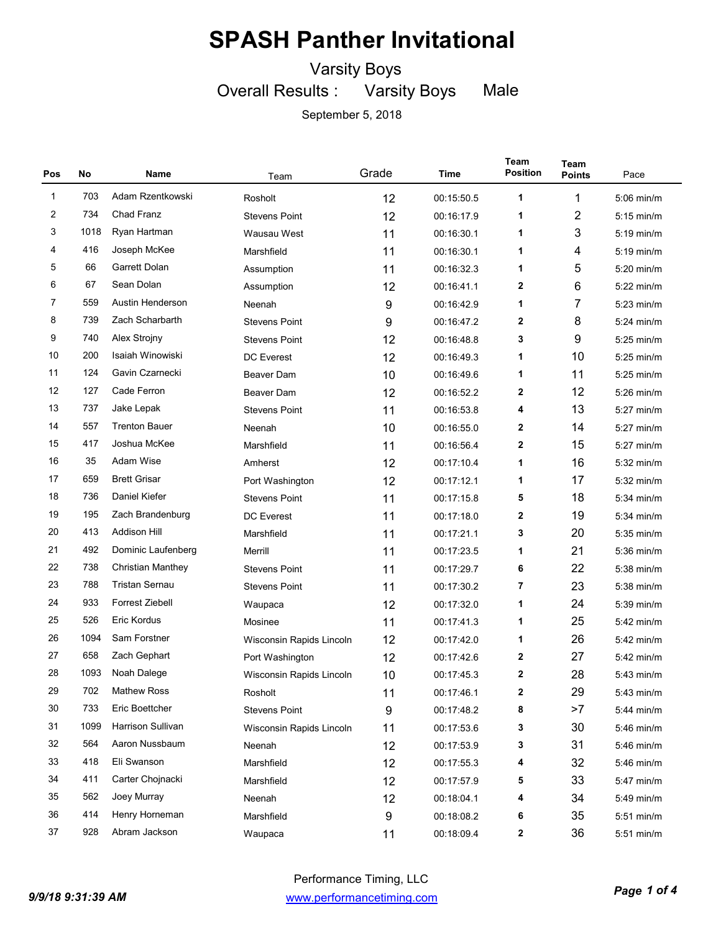Varsity Boys

Overall Results : Varsity Boys Male

| Pos          | No   | Name                     | Team                     | Grade | Time       | Team<br><b>Position</b> | <b>Team</b><br><b>Points</b> | Pace         |
|--------------|------|--------------------------|--------------------------|-------|------------|-------------------------|------------------------------|--------------|
| $\mathbf{1}$ | 703  | Adam Rzentkowski         | Rosholt                  | 12    | 00:15:50.5 | 1                       | 1                            | 5:06 min/m   |
| 2            | 734  | Chad Franz               | <b>Stevens Point</b>     | 12    | 00:16:17.9 | 1                       | $\overline{2}$               | $5:15$ min/m |
| 3            | 1018 | Ryan Hartman             | Wausau West              | 11    | 00:16:30.1 | 1                       | 3                            | $5:19$ min/m |
| 4            | 416  | Joseph McKee             | Marshfield               | 11    | 00:16:30.1 | 1                       | 4                            | $5:19$ min/m |
| 5            | 66   | Garrett Dolan            | Assumption               | 11    | 00:16:32.3 | 1                       | 5                            | 5:20 min/m   |
| 6            | 67   | Sean Dolan               | Assumption               | 12    | 00:16:41.1 | 2                       | 6                            | 5:22 min/m   |
| 7            | 559  | Austin Henderson         | Neenah                   | 9     | 00:16:42.9 | 1                       | $\overline{7}$               | $5:23$ min/m |
| 8            | 739  | Zach Scharbarth          | <b>Stevens Point</b>     | 9     | 00:16:47.2 | 2                       | 8                            | $5:24$ min/m |
| 9            | 740  | Alex Strojny             | <b>Stevens Point</b>     | 12    | 00:16:48.8 | 3                       | 9                            | 5:25 min/m   |
| 10           | 200  | Isaiah Winowiski         | <b>DC</b> Everest        | 12    | 00:16:49.3 | 1                       | 10                           | $5:25$ min/m |
| 11           | 124  | Gavin Czarnecki          | Beaver Dam               | 10    | 00:16:49.6 | 1                       | 11                           | 5:25 min/m   |
| 12           | 127  | Cade Ferron              | Beaver Dam               | 12    | 00:16:52.2 | 2                       | 12                           | 5:26 min/m   |
| 13           | 737  | Jake Lepak               | <b>Stevens Point</b>     | 11    | 00:16:53.8 | 4                       | 13                           | $5:27$ min/m |
| 14           | 557  | <b>Trenton Bauer</b>     | Neenah                   | 10    | 00:16:55.0 | 2                       | 14                           | $5:27$ min/m |
| 15           | 417  | Joshua McKee             | Marshfield               | 11    | 00:16:56.4 | 2                       | 15                           | 5:27 min/m   |
| 16           | 35   | Adam Wise                | Amherst                  | 12    | 00:17:10.4 | 1                       | 16                           | $5:32$ min/m |
| 17           | 659  | <b>Brett Grisar</b>      | Port Washington          | 12    | 00:17:12.1 | 1                       | 17                           | 5:32 min/m   |
| 18           | 736  | Daniel Kiefer            | <b>Stevens Point</b>     | 11    | 00:17:15.8 | 5                       | 18                           | $5:34$ min/m |
| 19           | 195  | Zach Brandenburg         | <b>DC</b> Everest        | 11    | 00:17:18.0 | 2                       | 19                           | 5:34 min/m   |
| 20           | 413  | <b>Addison Hill</b>      | Marshfield               | 11    | 00:17:21.1 | 3                       | 20                           | 5:35 min/m   |
| 21           | 492  | Dominic Laufenberg       | Merrill                  | 11    | 00:17:23.5 | 1                       | 21                           | 5:36 min/m   |
| 22           | 738  | <b>Christian Manthey</b> | <b>Stevens Point</b>     | 11    | 00:17:29.7 | 6                       | 22                           | 5:38 min/m   |
| 23           | 788  | <b>Tristan Sernau</b>    | <b>Stevens Point</b>     | 11    | 00:17:30.2 | 7                       | 23                           | 5:38 min/m   |
| 24           | 933  | Forrest Ziebell          | Waupaca                  | 12    | 00:17:32.0 | 1                       | 24                           | 5:39 min/m   |
| 25           | 526  | Eric Kordus              | Mosinee                  | 11    | 00:17:41.3 | 1                       | 25                           | 5:42 min/m   |
| 26           | 1094 | Sam Forstner             | Wisconsin Rapids Lincoln | 12    | 00:17:42.0 | 1                       | 26                           | 5:42 min/m   |
| 27           | 658  | Zach Gephart             | Port Washington          | 12    | 00:17:42.6 | $\mathbf{2}$            | 27                           | 5:42 min/m   |
| 28           | 1093 | Noah Dalege              | Wisconsin Rapids Lincoln | 10    | 00:17:45.3 | 2                       | 28                           | $5:43$ min/m |
| 29           | 702  | Mathew Ross              | Rosholt                  | 11    | 00:17:46.1 | 2                       | 29                           | 5:43 min/m   |
| $30\,$       | 733  | Eric Boettcher           | <b>Stevens Point</b>     | 9     | 00:17:48.2 | 8                       | >7                           | 5:44 min/m   |
| 31           | 1099 | Harrison Sullivan        | Wisconsin Rapids Lincoln | 11    | 00:17:53.6 | 3                       | 30                           | 5:46 min/m   |
| 32           | 564  | Aaron Nussbaum           | Neenah                   | 12    | 00:17:53.9 | 3                       | 31                           | 5:46 min/m   |
| 33           | 418  | Eli Swanson              | Marshfield               | 12    | 00:17:55.3 | 4                       | 32                           | 5:46 min/m   |
| 34           | 411  | Carter Chojnacki         | Marshfield               | 12    | 00:17:57.9 | 5                       | 33                           | 5:47 min/m   |
| 35           | 562  | Joey Murray              | Neenah                   | 12    | 00:18:04.1 | 4                       | 34                           | 5:49 min/m   |
| 36           | 414  | Henry Horneman           | Marshfield               | 9     | 00:18:08.2 | 6                       | 35                           | 5:51 min/m   |
| $37\,$       | 928  | Abram Jackson            | Waupaca                  | 11    | 00:18:09.4 | 2                       | 36                           | 5:51 min/m   |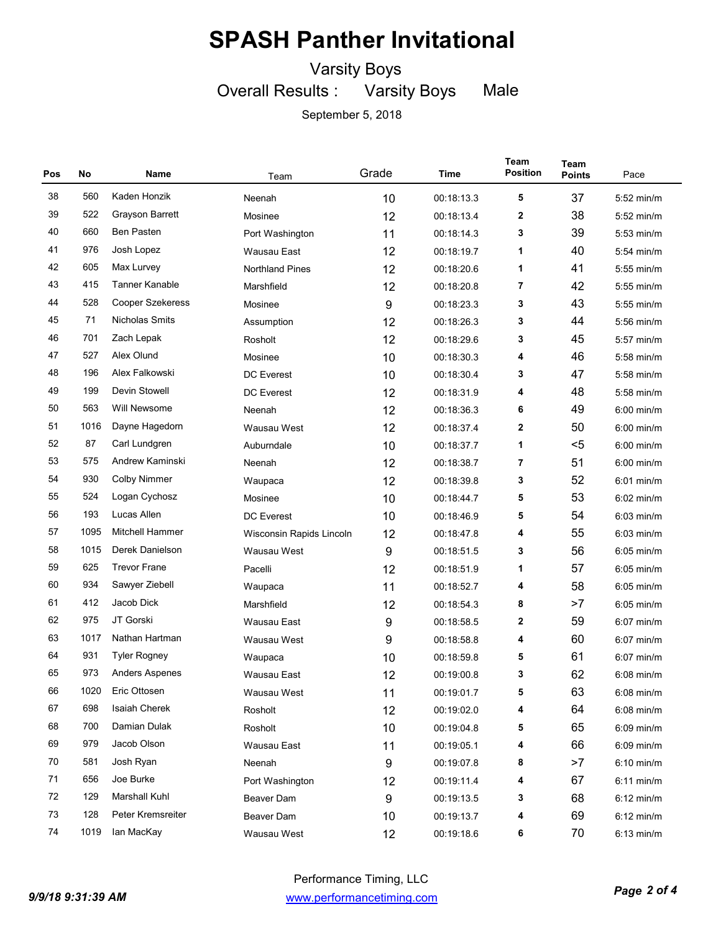Varsity Boys

Overall Results : Varsity Boys Male

| Pos | No   | Name                    | Team                     | Grade | Time       | Team<br><b>Position</b> | <b>Team</b><br><b>Points</b> | Pace         |
|-----|------|-------------------------|--------------------------|-------|------------|-------------------------|------------------------------|--------------|
| 38  | 560  | Kaden Honzik            | Neenah                   | 10    | 00:18:13.3 | 5                       | 37                           | $5:52$ min/m |
| 39  | 522  | Grayson Barrett         | Mosinee                  | 12    | 00:18:13.4 | 2                       | 38                           | $5:52$ min/m |
| 40  | 660  | <b>Ben Pasten</b>       | Port Washington          | 11    | 00:18:14.3 | 3                       | 39                           | $5:53$ min/m |
| 41  | 976  | Josh Lopez              | Wausau East              | 12    | 00:18:19.7 | 1                       | 40                           | $5:54$ min/m |
| 42  | 605  | Max Lurvey              | <b>Northland Pines</b>   | 12    | 00:18:20.6 | 1                       | 41                           | 5:55 min/m   |
| 43  | 415  | <b>Tanner Kanable</b>   | Marshfield               | 12    | 00:18:20.8 | 7                       | 42                           | $5:55$ min/m |
| 44  | 528  | <b>Cooper Szekeress</b> | Mosinee                  | 9     | 00:18:23.3 | 3                       | 43                           | 5:55 min/m   |
| 45  | 71   | <b>Nicholas Smits</b>   | Assumption               | 12    | 00:18:26.3 | 3                       | 44                           | 5:56 min/m   |
| 46  | 701  | Zach Lepak              | Rosholt                  | 12    | 00:18:29.6 | 3                       | 45                           | 5:57 min/m   |
| 47  | 527  | Alex Olund              | Mosinee                  | 10    | 00:18:30.3 | 4                       | 46                           | $5:58$ min/m |
| 48  | 196  | Alex Falkowski          | <b>DC</b> Everest        | 10    | 00:18:30.4 | 3                       | 47                           | 5:58 min/m   |
| 49  | 199  | Devin Stowell           | <b>DC</b> Everest        | 12    | 00:18:31.9 | 4                       | 48                           | 5:58 min/m   |
| 50  | 563  | Will Newsome            | Neenah                   | 12    | 00:18:36.3 | 6                       | 49                           | $6:00$ min/m |
| 51  | 1016 | Dayne Hagedorn          | Wausau West              | 12    | 00:18:37.4 | 2                       | 50                           | $6:00$ min/m |
| 52  | 87   | Carl Lundgren           | Auburndale               | 10    | 00:18:37.7 | 1                       | $<$ 5                        | $6:00$ min/m |
| 53  | 575  | Andrew Kaminski         | Neenah                   | 12    | 00:18:38.7 | 7                       | 51                           | $6:00$ min/m |
| 54  | 930  | <b>Colby Nimmer</b>     | Waupaca                  | 12    | 00:18:39.8 | 3                       | 52                           | 6:01 min/m   |
| 55  | 524  | Logan Cychosz           | Mosinee                  | 10    | 00:18:44.7 | 5                       | 53                           | $6:02$ min/m |
| 56  | 193  | Lucas Allen             | <b>DC</b> Everest        | 10    | 00:18:46.9 | 5                       | 54                           | $6:03$ min/m |
| 57  | 1095 | <b>Mitchell Hammer</b>  | Wisconsin Rapids Lincoln | 12    | 00:18:47.8 | 4                       | 55                           | $6:03$ min/m |
| 58  | 1015 | Derek Danielson         | Wausau West              | 9     | 00:18:51.5 | 3                       | 56                           | $6:05$ min/m |
| 59  | 625  | <b>Trevor Frane</b>     | Pacelli                  | 12    | 00:18:51.9 | 1                       | 57                           | $6:05$ min/m |
| 60  | 934  | Sawyer Ziebell          | Waupaca                  | 11    | 00:18:52.7 | 4                       | 58                           | $6:05$ min/m |
| 61  | 412  | Jacob Dick              | Marshfield               | 12    | 00:18:54.3 | 8                       | >7                           | $6:05$ min/m |
| 62  | 975  | JT Gorski               | Wausau East              | 9     | 00:18:58.5 | 2                       | 59                           | $6:07$ min/m |
| 63  | 1017 | Nathan Hartman          | Wausau West              | 9     | 00:18:58.8 | 4                       | 60                           | $6:07$ min/m |
| 64  | 931  | <b>Tyler Rogney</b>     | Waupaca                  | 10    | 00:18:59.8 | 5                       | 61                           | $6:07$ min/m |
| 65  | 973  | <b>Anders Aspenes</b>   | Wausau East              | 12    | 00:19:00.8 | 3                       | 62                           | $6:08$ min/m |
| 66  | 1020 | Eric Ottosen            | Wausau West              | 11    | 00:19:01.7 | 5                       | 63                           | $6:08$ min/m |
| 67  | 698  | Isaiah Cherek           | Rosholt                  | 12    | 00:19:02.0 | 4                       | 64                           | $6:08$ min/m |
| 68  | 700  | Damian Dulak            | Rosholt                  | 10    | 00:19:04.8 | 5                       | 65                           | 6:09 min/m   |
| 69  | 979  | Jacob Olson             | Wausau East              | 11    | 00:19:05.1 | 4                       | 66                           | $6:09$ min/m |
| 70  | 581  | Josh Ryan               | Neenah                   | 9     | 00:19:07.8 | 8                       | >7                           | $6:10$ min/m |
| 71  | 656  | Joe Burke               | Port Washington          | 12    | 00:19:11.4 | 4                       | 67                           | $6:11$ min/m |
| 72  | 129  | Marshall Kuhl           | Beaver Dam               | 9     | 00:19:13.5 | 3                       | 68                           | $6:12$ min/m |
| 73  | 128  | Peter Kremsreiter       | Beaver Dam               | 10    | 00:19:13.7 | 4                       | 69                           | $6:12$ min/m |
| 74  | 1019 | lan MacKay              | Wausau West              | 12    | 00:19:18.6 | 6                       | 70                           | $6:13$ min/m |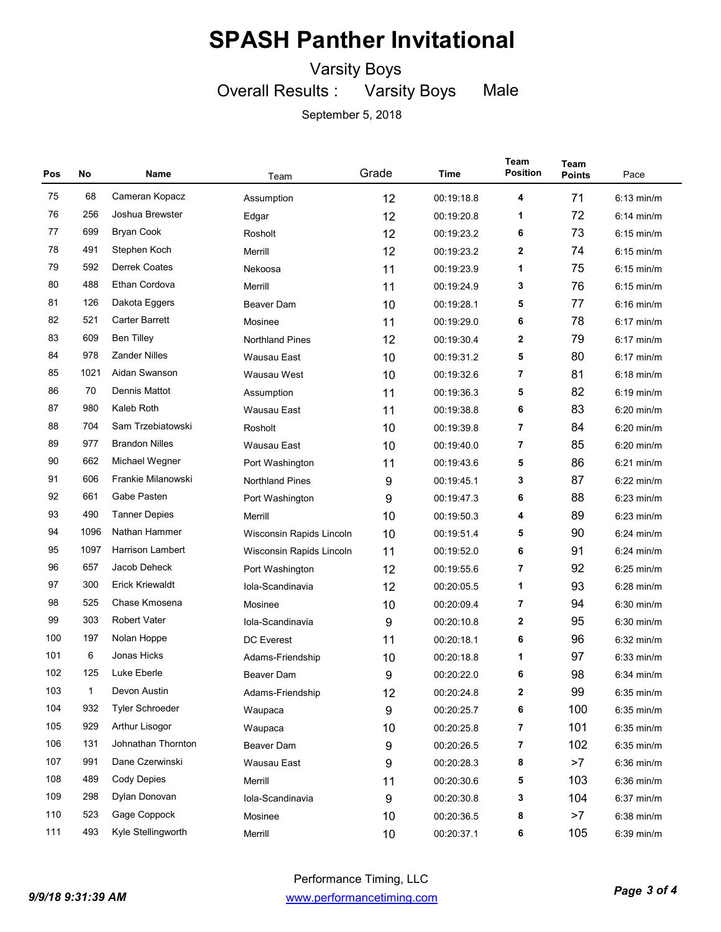Varsity Boys

Overall Results : Varsity Boys Male

| Pos | No           | Name                    | Team                     | Grade | Time       | Team<br><b>Position</b> | <b>Team</b><br><b>Points</b> | Pace         |
|-----|--------------|-------------------------|--------------------------|-------|------------|-------------------------|------------------------------|--------------|
| 75  | 68           | Cameran Kopacz          | Assumption               | 12    | 00:19:18.8 | 4                       | 71                           | $6:13$ min/m |
| 76  | 256          | Joshua Brewster         | Edgar                    | 12    | 00:19:20.8 | 1                       | 72                           | $6:14$ min/m |
| 77  | 699          | <b>Bryan Cook</b>       | Rosholt                  | 12    | 00:19:23.2 | 6                       | 73                           | $6:15$ min/m |
| 78  | 491          | Stephen Koch            | Merrill                  | 12    | 00:19:23.2 | 2                       | 74                           | $6:15$ min/m |
| 79  | 592          | <b>Derrek Coates</b>    | Nekoosa                  | 11    | 00:19:23.9 | 1                       | 75                           | $6:15$ min/m |
| 80  | 488          | Ethan Cordova           | Merrill                  | 11    | 00:19:24.9 | 3                       | 76                           | $6:15$ min/m |
| 81  | 126          | Dakota Eggers           | <b>Beaver Dam</b>        | 10    | 00:19:28.1 | 5                       | 77                           | $6:16$ min/m |
| 82  | 521          | <b>Carter Barrett</b>   | Mosinee                  | 11    | 00:19:29.0 | 6                       | 78                           | $6:17$ min/m |
| 83  | 609          | <b>Ben Tilley</b>       | <b>Northland Pines</b>   | 12    | 00:19:30.4 | 2                       | 79                           | $6:17$ min/m |
| 84  | 978          | <b>Zander Nilles</b>    | Wausau East              | 10    | 00:19:31.2 | 5                       | 80                           | $6:17$ min/m |
| 85  | 1021         | Aidan Swanson           | Wausau West              | 10    | 00:19:32.6 | 7                       | 81                           | $6:18$ min/m |
| 86  | 70           | Dennis Mattot           | Assumption               | 11    | 00:19:36.3 | 5                       | 82                           | $6:19$ min/m |
| 87  | 980          | Kaleb Roth              | Wausau East              | 11    | 00:19:38.8 | 6                       | 83                           | $6:20$ min/m |
| 88  | 704          | Sam Trzebiatowski       | Rosholt                  | 10    | 00:19:39.8 | 7                       | 84                           | $6:20$ min/m |
| 89  | 977          | <b>Brandon Nilles</b>   | <b>Wausau East</b>       | 10    | 00:19:40.0 | 7                       | 85                           | $6:20$ min/m |
| 90  | 662          | Michael Wegner          | Port Washington          | 11    | 00:19:43.6 | 5                       | 86                           | $6:21$ min/m |
| 91  | 606          | Frankie Milanowski      | <b>Northland Pines</b>   | 9     | 00:19:45.1 | 3                       | 87                           | $6:22$ min/m |
| 92  | 661          | Gabe Pasten             | Port Washington          | 9     | 00:19:47.3 | 6                       | 88                           | $6:23$ min/m |
| 93  | 490          | <b>Tanner Depies</b>    | Merrill                  | 10    | 00:19:50.3 | 4                       | 89                           | $6:23$ min/m |
| 94  | 1096         | Nathan Hammer           | Wisconsin Rapids Lincoln | 10    | 00:19:51.4 | 5                       | 90                           | $6:24$ min/m |
| 95  | 1097         | <b>Harrison Lambert</b> | Wisconsin Rapids Lincoln | 11    | 00:19:52.0 | 6                       | 91                           | $6:24$ min/m |
| 96  | 657          | Jacob Deheck            | Port Washington          | 12    | 00:19:55.6 | 7                       | 92                           | $6:25$ min/m |
| 97  | 300          | <b>Erick Kriewaldt</b>  | Iola-Scandinavia         | 12    | 00:20:05.5 | 1                       | 93                           | 6:28 min/m   |
| 98  | 525          | Chase Kmosena           | Mosinee                  | 10    | 00:20:09.4 | 7                       | 94                           | $6:30$ min/m |
| 99  | 303          | <b>Robert Vater</b>     | Iola-Scandinavia         | 9     | 00:20:10.8 | 2                       | 95                           | 6:30 min/m   |
| 100 | 197          | Nolan Hoppe             | <b>DC</b> Everest        | 11    | 00:20:18.1 | 6                       | 96                           | 6:32 min/m   |
| 101 | 6            | Jonas Hicks             | Adams-Friendship         | 10    | 00:20:18.8 | 1                       | 97                           | $6:33$ min/m |
| 102 | 125          | Luke Eberle             | Beaver Dam               | 9     | 00:20:22.0 | 6                       | 98                           | $6:34$ min/m |
| 103 | $\mathbf{1}$ | Devon Austin            | Adams-Friendship         | 12    | 00:20:24.8 | 2                       | 99                           | 6:35 min/m   |
| 104 | 932          | <b>Tyler Schroeder</b>  | Waupaca                  | 9     | 00:20:25.7 | 6                       | 100                          | $6:35$ min/m |
| 105 | 929          | Arthur Lisogor          | Waupaca                  | 10    | 00:20:25.8 | 7                       | 101                          | $6:35$ min/m |
| 106 | 131          | Johnathan Thornton      | Beaver Dam               | 9     | 00:20:26.5 | 7                       | 102                          | $6:35$ min/m |
| 107 | 991          | Dane Czerwinski         | Wausau East              | 9     | 00:20:28.3 | 8                       | >7                           | $6:36$ min/m |
| 108 | 489          | Cody Depies             | Merrill                  | 11    | 00:20:30.6 | 5                       | 103                          | $6:36$ min/m |
| 109 | 298          | Dylan Donovan           | Iola-Scandinavia         | 9     | 00:20:30.8 | 3                       | 104                          | $6:37$ min/m |
| 110 | 523          | Gage Coppock            | Mosinee                  | 10    | 00:20:36.5 | 8                       | >7                           | $6:38$ min/m |
| 111 | 493          | Kyle Stellingworth      | Merrill                  | 10    | 00:20:37.1 | 6                       | 105                          | $6:39$ min/m |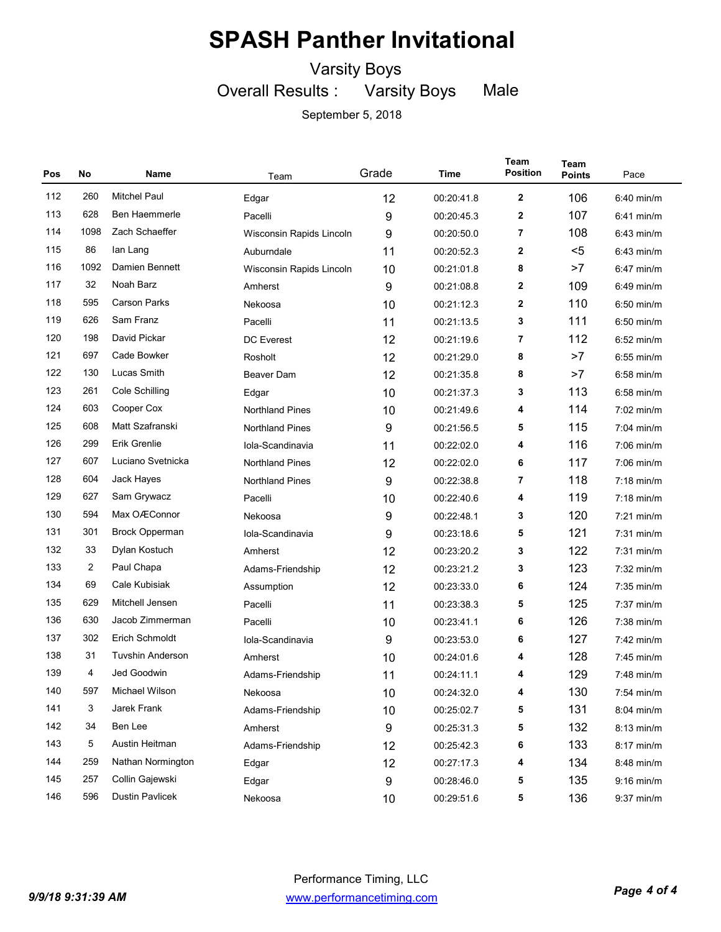Varsity Boys

Overall Results : Varsity Boys Male

| Pos | No             | Name                    | Team                        | Grade | Time       | Team<br><b>Position</b> | Team<br><b>Points</b> | Pace         |
|-----|----------------|-------------------------|-----------------------------|-------|------------|-------------------------|-----------------------|--------------|
| 112 | 260            | <b>Mitchel Paul</b>     | Edgar                       | 12    | 00:20:41.8 | $\boldsymbol{2}$        | 106                   | 6:40 min/m   |
| 113 | 628            | Ben Haemmerle           | Pacelli                     | 9     | 00:20:45.3 | $\boldsymbol{2}$        | 107                   | $6:41$ min/m |
| 114 | 1098           | Zach Schaeffer          | Wisconsin Rapids Lincoln    | 9     | 00:20:50.0 | 7                       | 108                   | $6:43$ min/m |
| 115 | 86             | lan Lang                | Auburndale                  | 11    | 00:20:52.3 | 2                       | $5$                   | $6:43$ min/m |
| 116 | 1092           | Damien Bennett          | Wisconsin Rapids Lincoln    | 10    | 00:21:01.8 | 8                       | >7                    | 6:47 min/m   |
| 117 | 32             | Noah Barz               | Amherst                     | 9     | 00:21:08.8 | $\mathbf{2}$            | 109                   | $6:49$ min/m |
| 118 | 595            | <b>Carson Parks</b>     | 10<br>00:21:12.3<br>Nekoosa |       | 2          | 110                     | $6:50$ min/m          |              |
| 119 | 626            | Sam Franz               | Pacelli                     | 11    | 00:21:13.5 | 3                       | 111                   | $6:50$ min/m |
| 120 | 198            | David Pickar            | <b>DC</b> Everest           | 12    | 00:21:19.6 | 7                       | 112                   | $6:52$ min/m |
| 121 | 697            | Cade Bowker             | Rosholt                     | 12    | 00:21:29.0 | 8                       | >7                    | $6:55$ min/m |
| 122 | 130            | Lucas Smith             | Beaver Dam                  | 12    | 00:21:35.8 | 8                       | >7                    | 6:58 min/m   |
| 123 | 261            | Cole Schilling          | Edgar                       | 10    | 00:21:37.3 | 3                       | 113                   | $6:58$ min/m |
| 124 | 603            | Cooper Cox              | <b>Northland Pines</b>      | 10    | 00:21:49.6 | 4                       | 114                   | $7:02$ min/m |
| 125 | 608            | Matt Szafranski         | <b>Northland Pines</b>      | 9     | 00:21:56.5 | 5                       | 115                   | $7:04$ min/m |
| 126 | 299            | Erik Grenlie            | Iola-Scandinavia            | 11    | 00:22:02.0 | 4                       | 116                   | $7:06$ min/m |
| 127 | 607            | Luciano Svetnicka       | <b>Northland Pines</b>      | 12    | 00:22:02.0 | 6                       | 117                   | $7:06$ min/m |
| 128 | 604            | Jack Hayes              | <b>Northland Pines</b>      | 9     | 00:22:38.8 | 7                       | 118                   | 7:18 min/m   |
| 129 | 627            | Sam Grywacz             | Pacelli                     | 10    | 00:22:40.6 | 4                       | 119                   | 7:18 min/m   |
| 130 | 594            | Max OÆConnor            | Nekoosa                     | 9     | 00:22:48.1 | 3                       | 120                   | $7:21$ min/m |
| 131 | 301            | <b>Brock Opperman</b>   | Iola-Scandinavia            | 9     | 00:23:18.6 | 5                       | 121                   | $7:31$ min/m |
| 132 | 33             | Dylan Kostuch           | Amherst                     | 12    | 00:23:20.2 | 3                       | 122                   | $7:31$ min/m |
| 133 | $\overline{2}$ | Paul Chapa              | Adams-Friendship            | 12    | 00:23:21.2 | 3                       | 123                   | $7:32$ min/m |
| 134 | 69             | Cale Kubisiak           | Assumption                  | 12    | 00:23:33.0 | 6                       | 124                   | $7:35$ min/m |
| 135 | 629            | Mitchell Jensen         | Pacelli                     | 11    | 00:23:38.3 | 5                       | 125                   | $7:37$ min/m |
| 136 | 630            | Jacob Zimmerman         | Pacelli                     | 10    | 00:23:41.1 | 6                       | 126                   | $7:38$ min/m |
| 137 | 302            | Erich Schmoldt          | Iola-Scandinavia            | 9     | 00:23:53.0 | 6                       | 127                   | $7:42$ min/m |
| 138 | 31             | <b>Tuvshin Anderson</b> | Amherst                     | 10    | 00:24:01.6 | 4                       | 128                   | $7:45$ min/m |
| 139 | 4              | Jed Goodwin             | Adams-Friendship            | 11    | 00:24:11.1 | 4                       | 129                   | 7:48 min/m   |
| 140 | 597            | Michael Wilson          | Nekoosa                     | 10    | 00:24:32.0 | 4                       | 130                   | $7:54$ min/m |
| 141 | 3              | Jarek Frank             | Adams-Friendship            | 10    | 00:25:02.7 | 5                       | 131                   | 8:04 min/m   |
| 142 | 34             | Ben Lee                 | Amherst                     | 9     | 00:25:31.3 | 5                       | 132                   | 8:13 min/m   |
| 143 | 5              | Austin Heitman          | Adams-Friendship            | 12    | 00:25:42.3 | 6                       | 133                   | 8:17 min/m   |
| 144 | 259            | Nathan Normington       | Edgar                       | 12    | 00:27:17.3 | 4                       | 134                   | 8:48 min/m   |
| 145 | 257            | Collin Gajewski         | Edgar                       | 9     | 00:28:46.0 | 5                       | 135                   | $9:16$ min/m |
| 146 | 596            | <b>Dustin Pavlicek</b>  | Nekoosa                     | 10    | 00:29:51.6 | 5                       | 136                   | 9:37 min/m   |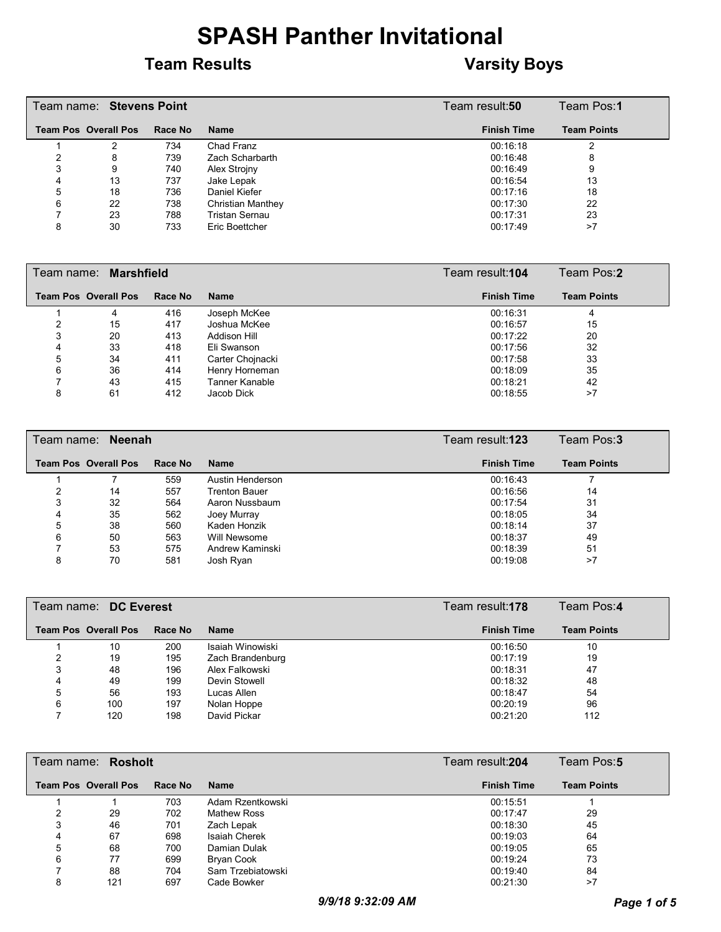#### **Team Results Varsity Boys**

|   | Team name: Stevens Point    |         | Team result: <b>50</b>   | Team Pos:1         |                    |
|---|-----------------------------|---------|--------------------------|--------------------|--------------------|
|   | <b>Team Pos Overall Pos</b> | Race No | <b>Name</b>              | <b>Finish Time</b> | <b>Team Points</b> |
|   |                             | 734     | Chad Franz               | 00:16:18           |                    |
|   | 8                           | 739     | Zach Scharbarth          | 00:16:48           | 8                  |
| 3 | 9                           | 740     | Alex Stroiny             | 00:16:49           | 9                  |
| 4 | 13                          | 737     | Jake Lepak               | 00:16:54           | 13                 |
| 5 | 18                          | 736     | Daniel Kiefer            | 00:17:16           | 18                 |
| 6 | 22                          | 738     | <b>Christian Manthey</b> | 00:17:30           | 22                 |
|   | 23                          | 788     | Tristan Sernau           | 00:17:31           | 23                 |
| 8 | 30                          | 733     | Eric Boettcher           | 00:17:49           | >7                 |

|   | Team name: Marshfield       |         |                  | Team result:104    | Team Pos:2         |
|---|-----------------------------|---------|------------------|--------------------|--------------------|
|   | <b>Team Pos Overall Pos</b> | Race No | <b>Name</b>      | <b>Finish Time</b> | <b>Team Points</b> |
|   | 4                           | 416     | Joseph McKee     | 00:16:31           | 4                  |
|   | 15                          | 417     | Joshua McKee     | 00:16:57           | 15                 |
| 3 | 20                          | 413     | Addison Hill     | 00:17:22           | 20                 |
| 4 | 33                          | 418     | Eli Swanson      | 00:17:56           | 32                 |
| 5 | 34                          | 411     | Carter Chojnacki | 00:17:58           | 33                 |
| 6 | 36                          | 414     | Henry Horneman   | 00:18:09           | 35                 |
|   | 43                          | 415     | Tanner Kanable   | 00:18:21           | 42                 |
| 8 | 61                          | 412     | Jacob Dick       | 00:18:55           | >7                 |

|   | Team name: Neenah           |         |                      | Team result:123    | Team Pos:3         |
|---|-----------------------------|---------|----------------------|--------------------|--------------------|
|   | <b>Team Pos Overall Pos</b> | Race No | <b>Name</b>          | <b>Finish Time</b> | <b>Team Points</b> |
|   |                             | 559     | Austin Henderson     | 00:16:43           |                    |
|   | 14                          | 557     | <b>Trenton Bauer</b> | 00:16:56           | 14                 |
| 3 | 32                          | 564     | Aaron Nussbaum       | 00:17:54           | 31                 |
| 4 | 35                          | 562     | Joey Murray          | 00:18:05           | 34                 |
| 5 | 38                          | 560     | Kaden Honzik         | 00:18:14           | 37                 |
| 6 | 50                          | 563     | Will Newsome         | 00:18:37           | 49                 |
|   | 53                          | 575     | Andrew Kaminski      | 00:18:39           | 51                 |
| 8 | 70                          | 581     | Josh Ryan            | 00:19:08           | >7                 |

|   | Team name: DC Everest       |         |                  | Team result:178    | Team Pos:4         |
|---|-----------------------------|---------|------------------|--------------------|--------------------|
|   | <b>Team Pos Overall Pos</b> | Race No | <b>Name</b>      | <b>Finish Time</b> | <b>Team Points</b> |
|   | 10                          | 200     | Isaiah Winowiski | 00:16:50           | 10                 |
|   | 19                          | 195     | Zach Brandenburg | 00:17:19           | 19                 |
| 3 | 48                          | 196     | Alex Falkowski   | 00:18:31           | 47                 |
| 4 | 49                          | 199     | Devin Stowell    | 00:18:32           | 48                 |
| 5 | 56                          | 193     | Lucas Allen      | 00:18:47           | 54                 |
| 6 | 100                         | 197     | Nolan Hoppe      | 00:20:19           | 96                 |
|   | 120                         | 198     | David Pickar     | 00:21:20           | 112                |

|   | Team name: <b>Rosholt</b>   |         |                      | Team result: <b>204</b> | Team Pos:5         |
|---|-----------------------------|---------|----------------------|-------------------------|--------------------|
|   | <b>Team Pos Overall Pos</b> | Race No | <b>Name</b>          | <b>Finish Time</b>      | <b>Team Points</b> |
|   |                             | 703     | Adam Rzentkowski     | 00:15:51                |                    |
|   | 29                          | 702     | Mathew Ross          | 00:17:47                | 29                 |
|   | 46                          | 701     | Zach Lepak           | 00:18:30                | 45                 |
| 4 | 67                          | 698     | <b>Isaiah Cherek</b> | 00:19:03                | 64                 |
| 5 | 68                          | 700     | Damian Dulak         | 00:19:05                | 65                 |
| 6 | 77                          | 699     | Bryan Cook           | 00:19:24                | 73                 |
|   | 88                          | 704     | Sam Trzebiatowski    | 00:19:40                | 84                 |
| 8 | 121                         | 697     | Cade Bowker          | 00:21:30                | >7                 |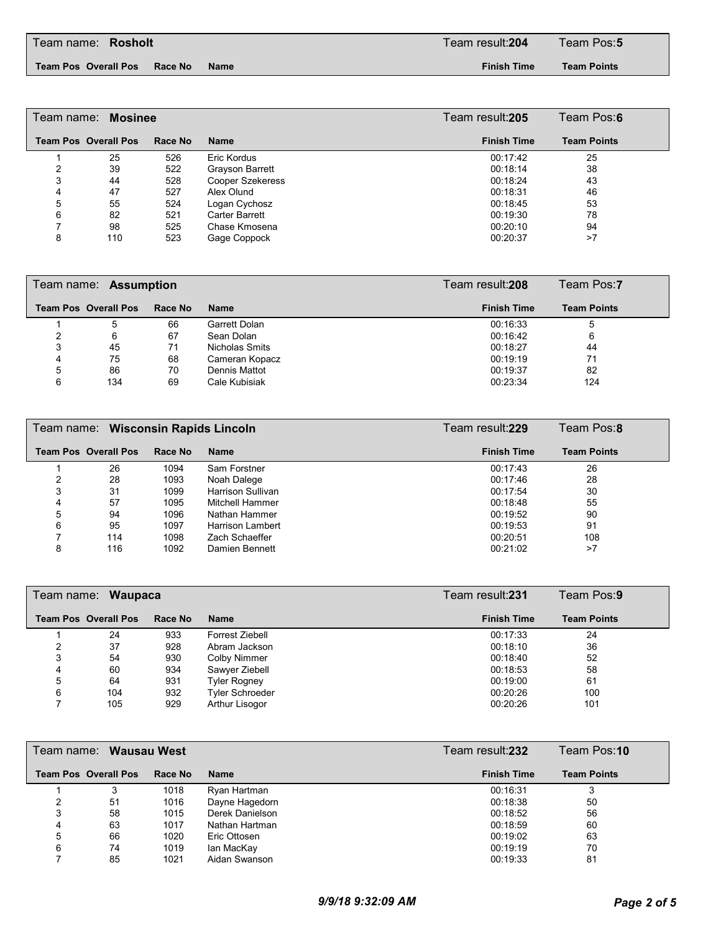#### **Team Pos Overall Pos Race No Name Finish Time**

**Team Points**

|   | Team name: Mosinee          |         |                         | Team result: <b>205</b> | Team Pos:6         |
|---|-----------------------------|---------|-------------------------|-------------------------|--------------------|
|   | <b>Team Pos Overall Pos</b> | Race No | <b>Name</b>             | <b>Finish Time</b>      | <b>Team Points</b> |
|   | 25                          | 526     | Eric Kordus             | 00:17:42                | 25                 |
|   | 39                          | 522     | Grayson Barrett         | 00:18:14                | 38                 |
| 3 | 44                          | 528     | <b>Cooper Szekeress</b> | 00:18:24                | 43                 |
| 4 | 47                          | 527     | Alex Olund              | 00:18:31                | 46                 |
| 5 | 55                          | 524     | Logan Cychosz           | 00:18:45                | 53                 |
| 6 | 82                          | 521     | Carter Barrett          | 00:19:30                | 78                 |
|   | 98                          | 525     | Chase Kmosena           | 00:20:10                | 94                 |
|   | 110                         | 523     | Gage Coppock            | 00:20:37                | >7                 |

|   | Team name: <b>Assumption</b> |         |                | Team result: <b>208</b> | Team Pos:7         |
|---|------------------------------|---------|----------------|-------------------------|--------------------|
|   | <b>Team Pos Overall Pos</b>  | Race No | <b>Name</b>    | <b>Finish Time</b>      | <b>Team Points</b> |
|   | 5                            | 66      | Garrett Dolan  | 00:16:33                | 5                  |
|   | 6                            | 67      | Sean Dolan     | 00:16:42                | 6                  |
| 3 | 45                           | 71      | Nicholas Smits | 00:18:27                | 44                 |
| 4 | 75                           | 68      | Cameran Kopacz | 00:19:19                | 71                 |
| 5 | 86                           | 70      | Dennis Mattot  | 00:19:37                | 82                 |
| 6 | 134                          | 69      | Cale Kubisiak  | 00:23:34                | 124                |

|   | Team name: Wisconsin Rapids Lincoln |         |                         |                    | Team Pos:8         |
|---|-------------------------------------|---------|-------------------------|--------------------|--------------------|
|   | <b>Team Pos Overall Pos</b>         | Race No | <b>Name</b>             | <b>Finish Time</b> | <b>Team Points</b> |
|   | 26                                  | 1094    | Sam Forstner            | 00:17:43           | 26                 |
| 2 | 28                                  | 1093    | Noah Dalege             | 00:17:46           | 28                 |
| 3 | 31                                  | 1099    | Harrison Sullivan       | 00:17:54           | 30                 |
| 4 | 57                                  | 1095    | Mitchell Hammer         | 00:18:48           | 55                 |
| 5 | 94                                  | 1096    | Nathan Hammer           | 00:19:52           | 90                 |
| 6 | 95                                  | 1097    | <b>Harrison Lambert</b> | 00:19:53           | 91                 |
|   | 114                                 | 1098    | Zach Schaeffer          | 00:20:51           | 108                |
| 8 | 116                                 | 1092    | Damien Bennett          | 00:21:02           | >7                 |

|   | Waupaca<br>Team name: _     |         |                        |  | Team result:231    | Team Pos:9         |
|---|-----------------------------|---------|------------------------|--|--------------------|--------------------|
|   | <b>Team Pos Overall Pos</b> | Race No | <b>Name</b>            |  | <b>Finish Time</b> | <b>Team Points</b> |
|   | 24                          | 933     | Forrest Ziebell        |  | 00:17:33           | 24                 |
|   | 37                          | 928     | Abram Jackson          |  | 00:18:10           | 36                 |
|   | 54                          | 930     | Colby Nimmer           |  | 00:18:40           | 52                 |
| 4 | 60                          | 934     | Sawyer Ziebell         |  | 00:18:53           | 58                 |
| 5 | 64                          | 931     | <b>Tyler Rogney</b>    |  | 00:19:00           | 61                 |
| 6 | 104                         | 932     | <b>Tyler Schroeder</b> |  | 00:20:26           | 100                |
|   | 105                         | 929     | Arthur Lisogor         |  | 00:20:26           | 101                |

|   | Team name: <b>Wausau West</b> |         |                 | Team result: <b>232</b> | Team Pos:10        |
|---|-------------------------------|---------|-----------------|-------------------------|--------------------|
|   | <b>Team Pos Overall Pos</b>   | Race No | <b>Name</b>     | <b>Finish Time</b>      | <b>Team Points</b> |
|   | 3                             | 1018    | Ryan Hartman    | 00:16:31                | 3                  |
| ົ | 51                            | 1016    | Dayne Hagedorn  | 00:18:38                | 50                 |
| 3 | 58                            | 1015    | Derek Danielson | 00:18:52                | 56                 |
|   | 63                            | 1017    | Nathan Hartman  | 00:18:59                | 60                 |
| 5 | 66                            | 1020    | Eric Ottosen    | 00:19:02                | 63                 |
| 6 | 74                            | 1019    | lan MacKay      | 00:19:19                | 70                 |
|   | 85                            | 1021    | Aidan Swanson   | 00:19:33                | 81                 |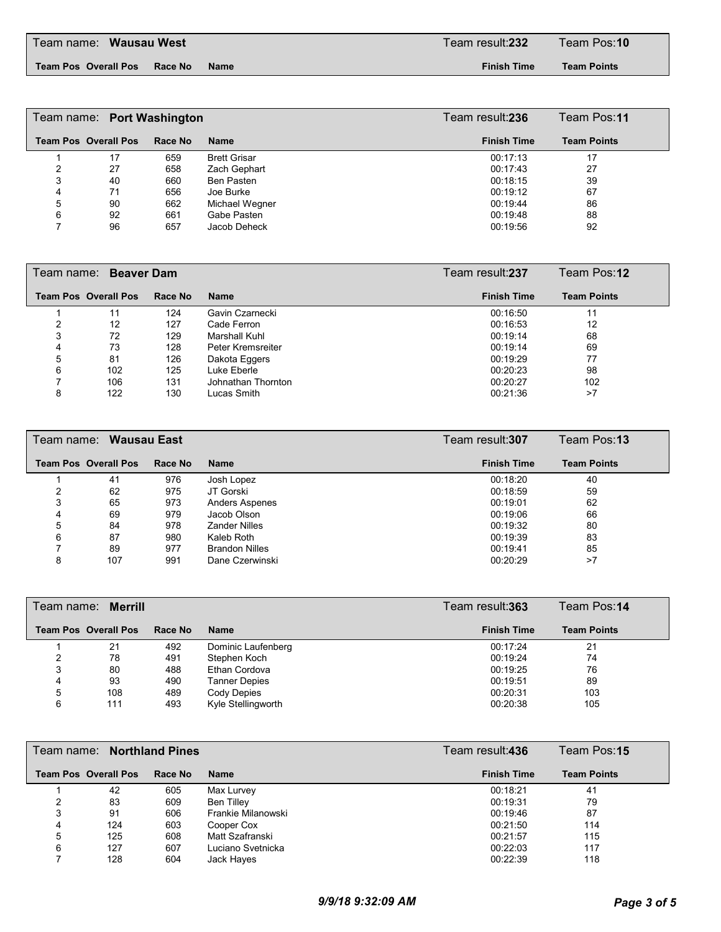**Team Pos Overall Pos Race No Name Finish Time**

**Team Points**

|   | Team name: Port Washington  |         | Team result:236     | Team Pos:11        |                    |
|---|-----------------------------|---------|---------------------|--------------------|--------------------|
|   | <b>Team Pos Overall Pos</b> | Race No | <b>Name</b>         | <b>Finish Time</b> | <b>Team Points</b> |
|   | 17                          | 659     | <b>Brett Grisar</b> | 00:17:13           | 17                 |
|   | 27                          | 658     | Zach Gephart        | 00:17:43           | 27                 |
| 3 | 40                          | 660     | Ben Pasten          | 00:18:15           | 39                 |
| 4 | 71                          | 656     | Joe Burke           | 00:19:12           | 67                 |
| 5 | 90                          | 662     | Michael Wegner      | 00:19:44           | 86                 |
| 6 | 92                          | 661     | Gabe Pasten         | 00:19:48           | 88                 |
|   | 96                          | 657     | Jacob Deheck        | 00:19:56           | 92                 |

|   | Team name: Beaver Dam |         |                    | Team result: <b>237</b> |                    | Team Pos:12        |
|---|-----------------------|---------|--------------------|-------------------------|--------------------|--------------------|
|   | Team Pos Overall Pos  | Race No | <b>Name</b>        |                         | <b>Finish Time</b> | <b>Team Points</b> |
|   | 11                    | 124     | Gavin Czarnecki    |                         | 00:16:50           | 11                 |
| າ | 12                    | 127     | Cade Ferron        |                         | 00:16:53           | 12                 |
| 3 | 72                    | 129     | Marshall Kuhl      |                         | 00:19:14           | 68                 |
| 4 | 73                    | 128     | Peter Kremsreiter  |                         | 00:19:14           | 69                 |
| 5 | 81                    | 126     | Dakota Eggers      |                         | 00:19:29           | 77                 |
| 6 | 102                   | 125     | Luke Eberle        |                         | 00:20:23           | 98                 |
|   | 106                   | 131     | Johnathan Thornton |                         | 00:20:27           | 102                |
| 8 | 122                   | 130     | Lucas Smith        |                         | 00:21:36           | >7                 |

|   | Team name: Wausau East      |         | Team result: <b>307</b> | Team Pos:13        |                    |  |
|---|-----------------------------|---------|-------------------------|--------------------|--------------------|--|
|   | <b>Team Pos Overall Pos</b> | Race No | <b>Name</b>             | <b>Finish Time</b> | <b>Team Points</b> |  |
|   | 41                          | 976     | Josh Lopez              | 00:18:20           | 40                 |  |
|   | 62                          | 975     | JT Gorski               | 00:18:59           | 59                 |  |
| 3 | 65                          | 973     | <b>Anders Aspenes</b>   | 00:19:01           | 62                 |  |
| 4 | 69                          | 979     | Jacob Olson             | 00:19:06           | 66                 |  |
| 5 | 84                          | 978     | <b>Zander Nilles</b>    | 00:19:32           | 80                 |  |
| 6 | 87                          | 980     | Kaleb Roth              | 00:19:39           | 83                 |  |
|   | 89                          | 977     | <b>Brandon Nilles</b>   | 00:19:41           | 85                 |  |
| 8 | 107                         | 991     | Dane Czerwinski         | 00:20:29           | >7                 |  |

|   | Team name: <b>Merrill</b>   |                | Team result:363      | Team Pos:14        |                    |
|---|-----------------------------|----------------|----------------------|--------------------|--------------------|
|   | <b>Team Pos Overall Pos</b> | <b>Race No</b> | <b>Name</b>          | <b>Finish Time</b> | <b>Team Points</b> |
|   | 21                          | 492            | Dominic Laufenberg   | 00:17:24           | 21                 |
|   | 78                          | 491            | Stephen Koch         | 00:19:24           | 74                 |
| 3 | 80                          | 488            | Ethan Cordova        | 00:19:25           | 76                 |
| 4 | 93                          | 490            | <b>Tanner Depies</b> | 00:19:51           | 89                 |
| 5 | 108                         | 489            | Cody Depies          | 00:20:31           | 103                |
| 6 | 111                         | 493            | Kyle Stellingworth   | 00:20:38           | 105                |

|   | Team name: Northland Pines  |         |                    | Team result: <b>436</b> | Team Pos:15        |
|---|-----------------------------|---------|--------------------|-------------------------|--------------------|
|   | <b>Team Pos Overall Pos</b> | Race No | <b>Name</b>        | <b>Finish Time</b>      | <b>Team Points</b> |
|   | 42                          | 605     | Max Lurvey         | 00:18:21                | 41                 |
|   | 83                          | 609     | Ben Tilley         | 00:19:31                | 79                 |
| 3 | 91                          | 606     | Frankie Milanowski | 00:19:46                | 87                 |
| 4 | 124                         | 603     | Cooper Cox         | 00:21:50                | 114                |
| 5 | 125                         | 608     | Matt Szafranski    | 00:21:57                | 115                |
| 6 | 127                         | 607     | Luciano Svetnicka  | 00:22:03                | 117                |
|   | 128                         | 604     | Jack Hayes         | 00:22:39                | 118                |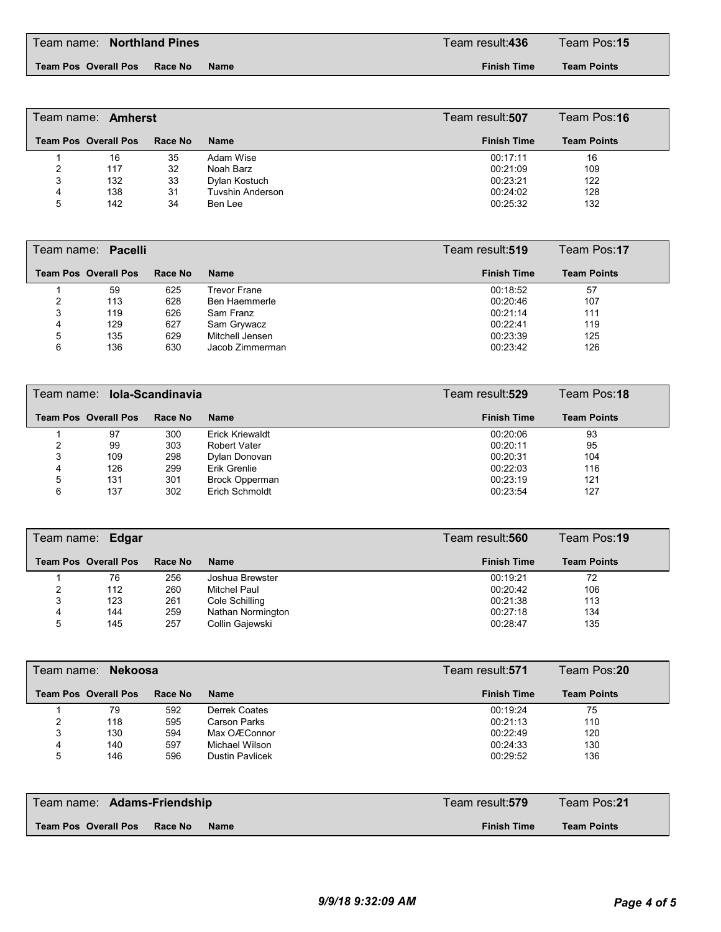Team name: Team result:**436** Team Pos:**15 Northland Pines**

**Team Pos Overall Pos Race No Name Finish Time**

**Team Points**

|   | Team name: <b>Amherst</b>   |         |                         | Team result:507    | Team Pos:16        |
|---|-----------------------------|---------|-------------------------|--------------------|--------------------|
|   | <b>Team Pos Overall Pos</b> | Race No | <b>Name</b>             | <b>Finish Time</b> | <b>Team Points</b> |
|   | 16                          | 35      | Adam Wise               | 00:17:11           | 16                 |
| 2 | 117                         | 32      | Noah Barz               | 00:21:09           | 109                |
| 3 | 132                         | 33      | Dylan Kostuch           | 00:23:21           | 122                |
| 4 | 138                         | 31      | <b>Tuvshin Anderson</b> | 00:24:02           | 128                |
| 5 | 142                         | 34      | Ben Lee                 | 00:25:32           | 132                |

|   | Team name: Pacelli          |         |                 | Team result: <b>519</b> | Team Pos:17        |
|---|-----------------------------|---------|-----------------|-------------------------|--------------------|
|   | <b>Team Pos Overall Pos</b> | Race No | <b>Name</b>     | <b>Finish Time</b>      | <b>Team Points</b> |
|   | 59                          | 625     | Trevor Frane    | 00:18:52                | 57                 |
| 2 | 113                         | 628     | Ben Haemmerle   | 00:20:46                | 107                |
| 3 | 119                         | 626     | Sam Franz       | 00:21:14                | 111                |
| 4 | 129                         | 627     | Sam Grywacz     | 00:22:41                | 119                |
| 5 | 135                         | 629     | Mitchell Jensen | 00:23:39                | 125                |
| 6 | 136                         | 630     | Jacob Zimmerman | 00:23:42                | 126                |

|   | Team name: <b>Iola-Scandinavia</b> |         |                        | Team result: <b>529</b> | Team Pos:18        |
|---|------------------------------------|---------|------------------------|-------------------------|--------------------|
|   | <b>Team Pos Overall Pos</b>        | Race No | <b>Name</b>            | <b>Finish Time</b>      | <b>Team Points</b> |
|   | 97                                 | 300     | <b>Erick Kriewaldt</b> | 00:20:06                | 93                 |
|   | 99                                 | 303     | <b>Robert Vater</b>    | 00:20:11                | 95                 |
| 3 | 109                                | 298     | Dylan Donovan          | 00:20:31                | 104                |
| 4 | 126                                | 299     | Erik Grenlie           | 00:22:03                | 116                |
| 5 | 131                                | 301     | <b>Brock Opperman</b>  | 00:23:19                | 121                |
| 6 | 137                                | 302     | Erich Schmoldt         | 00:23:54                | 127                |

|   | Team name: Edgar            |         |                   | Team result: <b>560</b> | Team Pos:19        |
|---|-----------------------------|---------|-------------------|-------------------------|--------------------|
|   | <b>Team Pos Overall Pos</b> | Race No | <b>Name</b>       | <b>Finish Time</b>      | <b>Team Points</b> |
|   | 76                          | 256     | Joshua Brewster   | 00:19:21                | 72                 |
|   | 112                         | 260     | Mitchel Paul      | 00:20:42                | 106                |
| 3 | 123                         | 261     | Cole Schilling    | 00:21:38                | 113                |
| 4 | 144                         | 259     | Nathan Normington | 00:27:18                | 134                |
| 5 | 145                         | 257     | Collin Gajewski   | 00:28:47                | 135                |

| Team name: <b>Nekoosa</b> |                             |         |                        | Team result: <b>571</b> | Team Pos:20        |
|---------------------------|-----------------------------|---------|------------------------|-------------------------|--------------------|
|                           | <b>Team Pos Overall Pos</b> | Race No | <b>Name</b>            | <b>Finish Time</b>      | <b>Team Points</b> |
|                           | 79                          | 592     | Derrek Coates          | 00:19:24                | 75                 |
|                           | 118                         | 595     | <b>Carson Parks</b>    | 00:21:13                | 110                |
| 3                         | 130                         | 594     | Max OÆConnor           | 00:22:49                | 120                |
| 4                         | 140                         | 597     | Michael Wilson         | 00:24:33                | 130                |
| 5                         | 146                         | 596     | <b>Dustin Pavlicek</b> | 00:29:52                | 136                |

| Team name: Adams-Friendship /                  | ⊺Team result: <b>579</b> | Team Pos: <b>21</b> |
|------------------------------------------------|--------------------------|---------------------|
| <b>Team Pos Overall Pos</b><br>Race No<br>Name | <b>Finish Time</b>       | <b>Team Points</b>  |